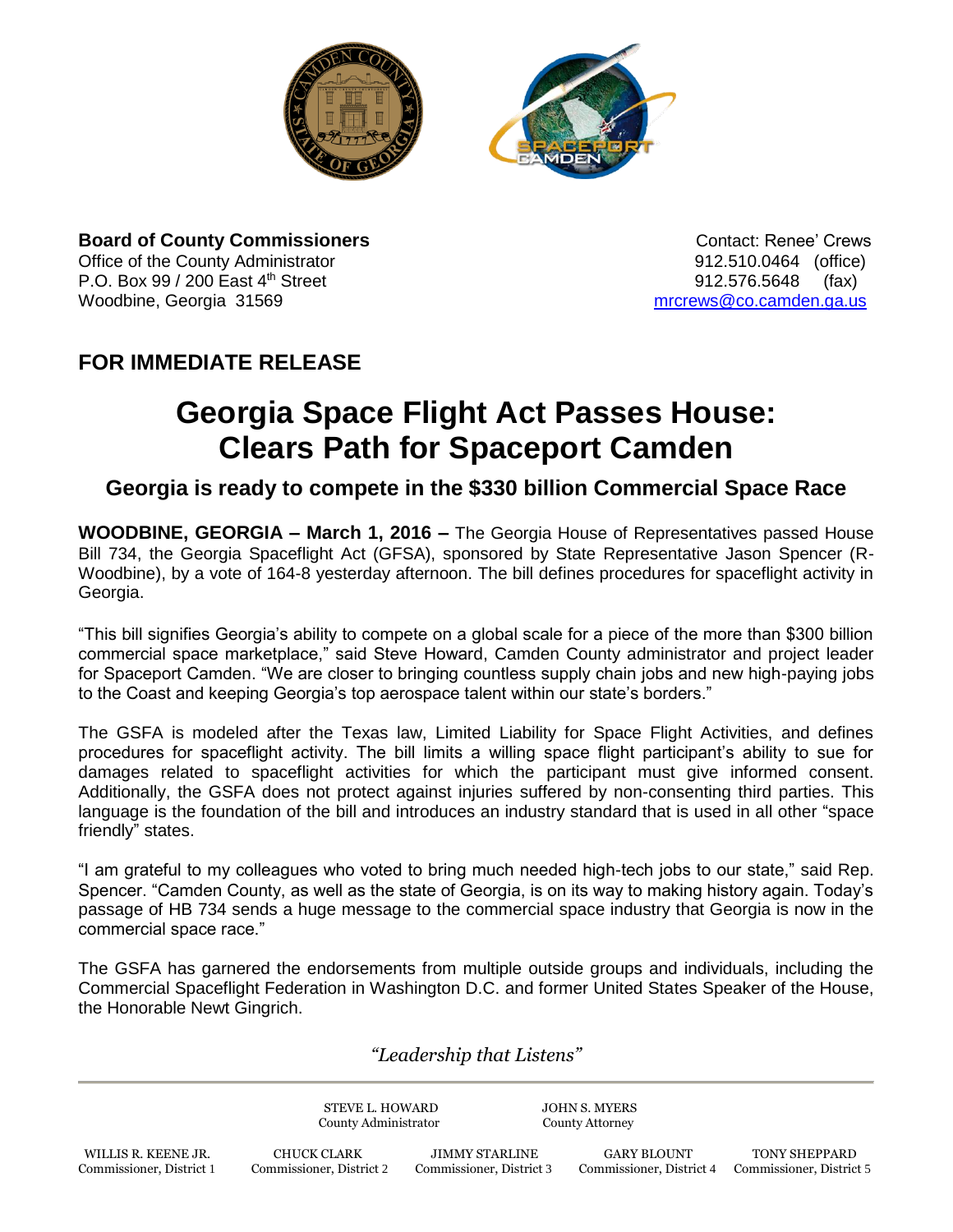



**Board of County Commissioners Contact: Renee' Crews Contact: Renee' Crews** Office of the County Administrator 912.510.0464 (office) P.O. Box 99 / 200 East 4<sup>th</sup> Street 912.576.5648 (fax) Woodbine, Georgia 31569 [mrcrews@co.camden.ga.us](mailto:mrcrews@co.camden.ga.us)

## **FOR IMMEDIATE RELEASE**

## **Georgia Space Flight Act Passes House: Clears Path for Spaceport Camden**

## **Georgia is ready to compete in the \$330 billion Commercial Space Race**

**WOODBINE, GEORGIA – March 1, 2016 –** The Georgia House of Representatives passed House Bill 734, the Georgia Spaceflight Act (GFSA), sponsored by State Representative Jason Spencer (R-Woodbine), by a vote of 164-8 yesterday afternoon. The bill defines procedures for spaceflight activity in Georgia.

"This bill signifies Georgia's ability to compete on a global scale for a piece of the more than \$300 billion commercial space marketplace," said Steve Howard, Camden County administrator and project leader for Spaceport Camden. "We are closer to bringing countless supply chain jobs and new high-paying jobs to the Coast and keeping Georgia's top aerospace talent within our state's borders."

The GSFA is modeled after the Texas law, Limited Liability for Space Flight Activities, and defines procedures for spaceflight activity. The bill limits a willing space flight participant's ability to sue for damages related to spaceflight activities for which the participant must give informed consent. Additionally, the GSFA does not protect against injuries suffered by non-consenting third parties. This language is the foundation of the bill and introduces an industry standard that is used in all other "space friendly" states.

"I am grateful to my colleagues who voted to bring much needed high-tech jobs to our state," said Rep. Spencer. "Camden County, as well as the state of Georgia, is on its way to making history again. Today's passage of HB 734 sends a huge message to the commercial space industry that Georgia is now in the commercial space race."

The GSFA has garnered the endorsements from multiple outside groups and individuals, including the Commercial Spaceflight Federation in Washington D.C. and former United States Speaker of the House, the Honorable Newt Gingrich.

*"Leadership that Listens"*

STEVE L. HOWARD JOHN S. MYERS County Administrator County Attorney WILLIS R. KEENE JR. CHUCK CLARK JIMMY STARLINE GARY BLOUNT TONY SHEPPARD Commissioner, District 1 Commissioner, District 2 Commissioner, District 3 Commissioner, District 4 Commissioner, District 5